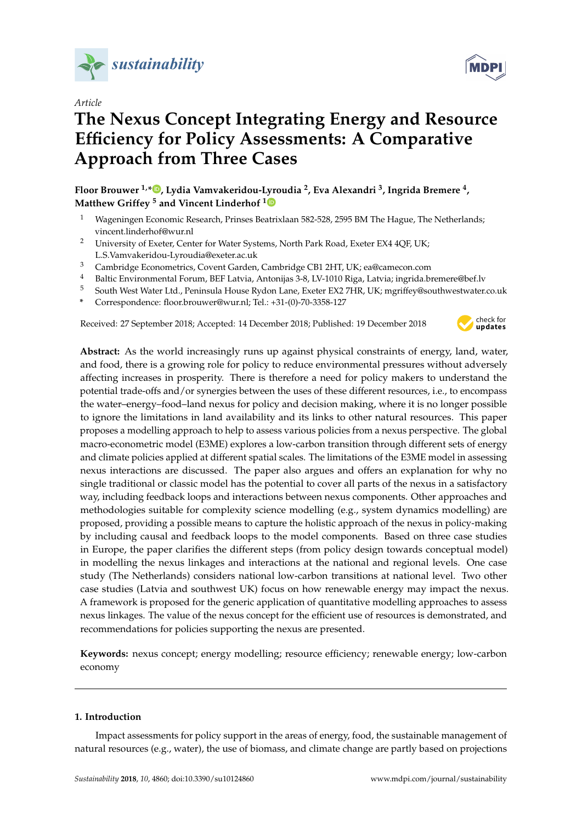

*Article*

# **The Nexus Concept Integrating Energy and Resource Efficiency for Policy Assessments: A Comparative Approach from Three Cases**

**Floor Brouwer 1,\* [,](https://orcid.org/0000-0002-7308-1185) Lydia Vamvakeridou-Lyroudia <sup>2</sup> , Eva Alexandri <sup>3</sup> , Ingrida Bremere <sup>4</sup> , Matthew Griffey <sup>5</sup> and Vincent Linderhof [1](https://orcid.org/0000-0001-5936-7198)**

- <sup>1</sup> Wageningen Economic Research, Prinses Beatrixlaan 582-528, 2595 BM The Hague, The Netherlands; vincent.linderhof@wur.nl
- <sup>2</sup> University of Exeter, Center for Water Systems, North Park Road, Exeter EX4 4QF, UK; L.S.Vamvakeridou-Lyroudia@exeter.ac.uk
- <sup>3</sup> Cambridge Econometrics, Covent Garden, Cambridge CB1 2HT, UK; ea@camecon.com
- <sup>4</sup> Baltic Environmental Forum, BEF Latvia, Antonijas 3-8, LV-1010 Riga, Latvia; ingrida.bremere@bef.lv
- <sup>5</sup> South West Water Ltd., Peninsula House Rydon Lane, Exeter EX2 7HR, UK; mgriffey@southwestwater.co.uk
- **\*** Correspondence: floor.brouwer@wur.nl; Tel.: +31-(0)-70-3358-127

Received: 27 September 2018; Accepted: 14 December 2018; Published: 19 December 2018



**Abstract:** As the world increasingly runs up against physical constraints of energy, land, water, and food, there is a growing role for policy to reduce environmental pressures without adversely affecting increases in prosperity. There is therefore a need for policy makers to understand the potential trade-offs and/or synergies between the uses of these different resources, i.e., to encompass the water–energy–food–land nexus for policy and decision making, where it is no longer possible to ignore the limitations in land availability and its links to other natural resources. This paper proposes a modelling approach to help to assess various policies from a nexus perspective. The global macro-econometric model (E3ME) explores a low-carbon transition through different sets of energy and climate policies applied at different spatial scales. The limitations of the E3ME model in assessing nexus interactions are discussed. The paper also argues and offers an explanation for why no single traditional or classic model has the potential to cover all parts of the nexus in a satisfactory way, including feedback loops and interactions between nexus components. Other approaches and methodologies suitable for complexity science modelling (e.g., system dynamics modelling) are proposed, providing a possible means to capture the holistic approach of the nexus in policy-making by including causal and feedback loops to the model components. Based on three case studies in Europe, the paper clarifies the different steps (from policy design towards conceptual model) in modelling the nexus linkages and interactions at the national and regional levels. One case study (The Netherlands) considers national low-carbon transitions at national level. Two other case studies (Latvia and southwest UK) focus on how renewable energy may impact the nexus. A framework is proposed for the generic application of quantitative modelling approaches to assess nexus linkages. The value of the nexus concept for the efficient use of resources is demonstrated, and recommendations for policies supporting the nexus are presented.

**Keywords:** nexus concept; energy modelling; resource efficiency; renewable energy; low-carbon economy

# **1. Introduction**

Impact assessments for policy support in the areas of energy, food, the sustainable management of natural resources (e.g., water), the use of biomass, and climate change are partly based on projections

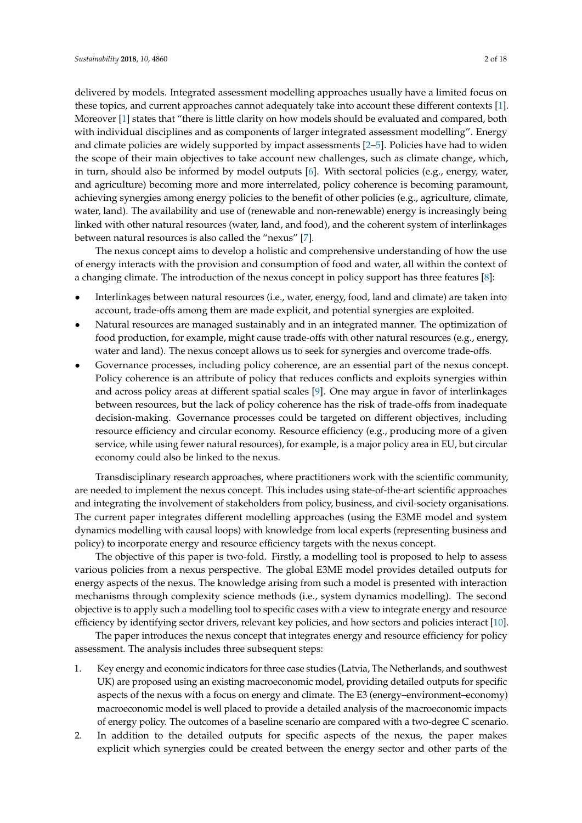delivered by models. Integrated assessment modelling approaches usually have a limited focus on these topics, and current approaches cannot adequately take into account these different contexts [\[1\]](#page-15-0). Moreover [\[1\]](#page-15-0) states that "there is little clarity on how models should be evaluated and compared, both with individual disciplines and as components of larger integrated assessment modelling". Energy and climate policies are widely supported by impact assessments [\[2–](#page-15-1)[5\]](#page-15-2). Policies have had to widen the scope of their main objectives to take account new challenges, such as climate change, which, in turn, should also be informed by model outputs [\[6\]](#page-15-3). With sectoral policies (e.g., energy, water, and agriculture) becoming more and more interrelated, policy coherence is becoming paramount, achieving synergies among energy policies to the benefit of other policies (e.g., agriculture, climate, water, land). The availability and use of (renewable and non-renewable) energy is increasingly being linked with other natural resources (water, land, and food), and the coherent system of interlinkages between natural resources is also called the "nexus" [\[7\]](#page-16-0).

The nexus concept aims to develop a holistic and comprehensive understanding of how the use of energy interacts with the provision and consumption of food and water, all within the context of a changing climate. The introduction of the nexus concept in policy support has three features [\[8\]](#page-16-1):

- Interlinkages between natural resources (i.e., water, energy, food, land and climate) are taken into account, trade-offs among them are made explicit, and potential synergies are exploited.
- Natural resources are managed sustainably and in an integrated manner. The optimization of food production, for example, might cause trade-offs with other natural resources (e.g., energy, water and land). The nexus concept allows us to seek for synergies and overcome trade-offs.
- Governance processes, including policy coherence, are an essential part of the nexus concept. Policy coherence is an attribute of policy that reduces conflicts and exploits synergies within and across policy areas at different spatial scales [\[9\]](#page-16-2). One may argue in favor of interlinkages between resources, but the lack of policy coherence has the risk of trade-offs from inadequate decision-making. Governance processes could be targeted on different objectives, including resource efficiency and circular economy. Resource efficiency (e.g., producing more of a given service, while using fewer natural resources), for example, is a major policy area in EU, but circular economy could also be linked to the nexus.

Transdisciplinary research approaches, where practitioners work with the scientific community, are needed to implement the nexus concept. This includes using state-of-the-art scientific approaches and integrating the involvement of stakeholders from policy, business, and civil-society organisations. The current paper integrates different modelling approaches (using the E3ME model and system dynamics modelling with causal loops) with knowledge from local experts (representing business and policy) to incorporate energy and resource efficiency targets with the nexus concept.

The objective of this paper is two-fold. Firstly, a modelling tool is proposed to help to assess various policies from a nexus perspective. The global E3ME model provides detailed outputs for energy aspects of the nexus. The knowledge arising from such a model is presented with interaction mechanisms through complexity science methods (i.e., system dynamics modelling). The second objective is to apply such a modelling tool to specific cases with a view to integrate energy and resource efficiency by identifying sector drivers, relevant key policies, and how sectors and policies interact [\[10\]](#page-16-3).

The paper introduces the nexus concept that integrates energy and resource efficiency for policy assessment. The analysis includes three subsequent steps:

- 1. Key energy and economic indicators for three case studies (Latvia, The Netherlands, and southwest UK) are proposed using an existing macroeconomic model, providing detailed outputs for specific aspects of the nexus with a focus on energy and climate. The E3 (energy–environment–economy) macroeconomic model is well placed to provide a detailed analysis of the macroeconomic impacts of energy policy. The outcomes of a baseline scenario are compared with a two-degree C scenario.
- 2. In addition to the detailed outputs for specific aspects of the nexus, the paper makes explicit which synergies could be created between the energy sector and other parts of the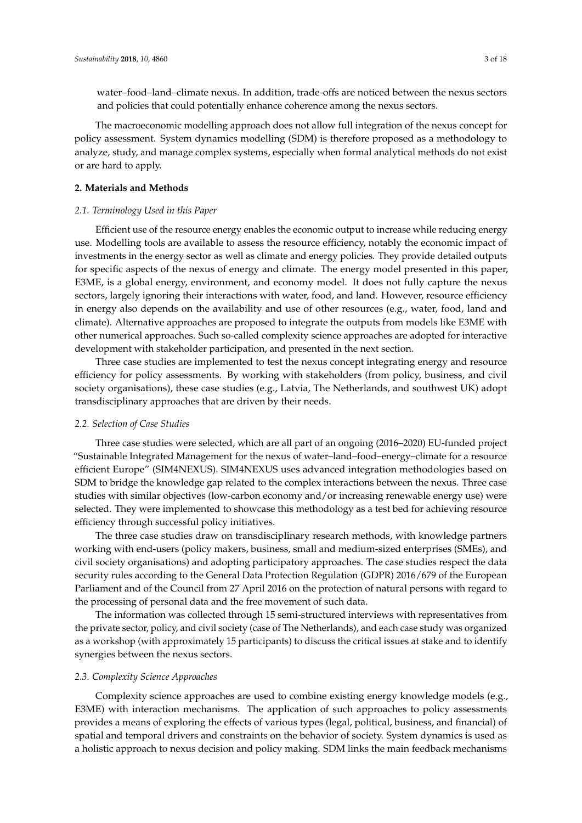water–food–land–climate nexus. In addition, trade-offs are noticed between the nexus sectors and policies that could potentially enhance coherence among the nexus sectors.

The macroeconomic modelling approach does not allow full integration of the nexus concept for policy assessment. System dynamics modelling (SDM) is therefore proposed as a methodology to analyze, study, and manage complex systems, especially when formal analytical methods do not exist or are hard to apply.

# **2. Materials and Methods**

## *2.1. Terminology Used in this Paper*

Efficient use of the resource energy enables the economic output to increase while reducing energy use. Modelling tools are available to assess the resource efficiency, notably the economic impact of investments in the energy sector as well as climate and energy policies. They provide detailed outputs for specific aspects of the nexus of energy and climate. The energy model presented in this paper, E3ME, is a global energy, environment, and economy model. It does not fully capture the nexus sectors, largely ignoring their interactions with water, food, and land. However, resource efficiency in energy also depends on the availability and use of other resources (e.g., water, food, land and climate). Alternative approaches are proposed to integrate the outputs from models like E3ME with other numerical approaches. Such so-called complexity science approaches are adopted for interactive development with stakeholder participation, and presented in the next section.

Three case studies are implemented to test the nexus concept integrating energy and resource efficiency for policy assessments. By working with stakeholders (from policy, business, and civil society organisations), these case studies (e.g., Latvia, The Netherlands, and southwest UK) adopt transdisciplinary approaches that are driven by their needs.

#### *2.2. Selection of Case Studies*

Three case studies were selected, which are all part of an ongoing (2016–2020) EU-funded project "Sustainable Integrated Management for the nexus of water–land–food–energy–climate for a resource efficient Europe" (SIM4NEXUS). SIM4NEXUS uses advanced integration methodologies based on SDM to bridge the knowledge gap related to the complex interactions between the nexus. Three case studies with similar objectives (low-carbon economy and/or increasing renewable energy use) were selected. They were implemented to showcase this methodology as a test bed for achieving resource efficiency through successful policy initiatives.

The three case studies draw on transdisciplinary research methods, with knowledge partners working with end-users (policy makers, business, small and medium-sized enterprises (SMEs), and civil society organisations) and adopting participatory approaches. The case studies respect the data security rules according to the General Data Protection Regulation (GDPR) 2016/679 of the European Parliament and of the Council from 27 April 2016 on the protection of natural persons with regard to the processing of personal data and the free movement of such data.

The information was collected through 15 semi-structured interviews with representatives from the private sector, policy, and civil society (case of The Netherlands), and each case study was organized as a workshop (with approximately 15 participants) to discuss the critical issues at stake and to identify synergies between the nexus sectors.

## *2.3. Complexity Science Approaches*

Complexity science approaches are used to combine existing energy knowledge models (e.g., E3ME) with interaction mechanisms. The application of such approaches to policy assessments provides a means of exploring the effects of various types (legal, political, business, and financial) of spatial and temporal drivers and constraints on the behavior of society. System dynamics is used as a holistic approach to nexus decision and policy making. SDM links the main feedback mechanisms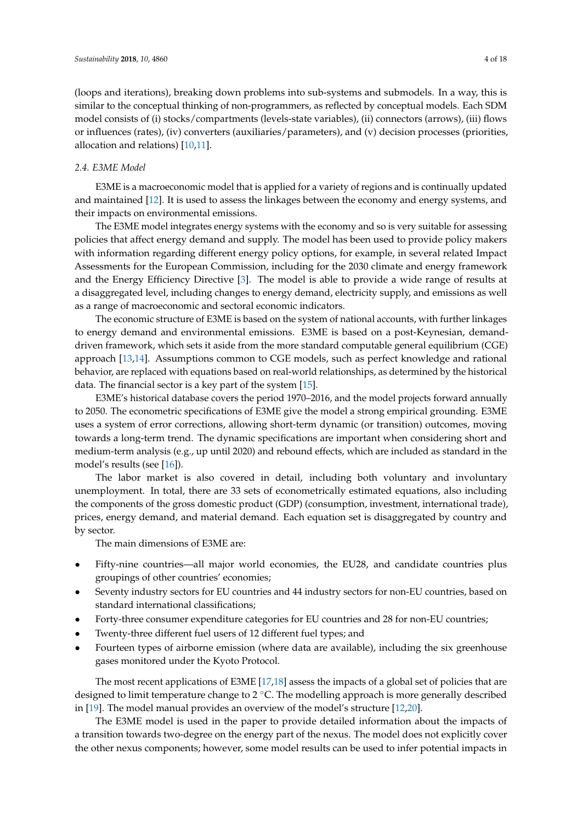(loops and iterations), breaking down problems into sub-systems and submodels. In a way, this is similar to the conceptual thinking of non-programmers, as reflected by conceptual models. Each SDM model consists of (i) stocks/compartments (levels-state variables), (ii) connectors (arrows), (iii) flows or influences (rates), (iv) converters (auxiliaries/parameters), and (v) decision processes (priorities, allocation and relations) [\[10](#page-16-3)[,11\]](#page-16-4).

## *2.4. E3ME Model*

E3ME is a macroeconomic model that is applied for a variety of regions and is continually updated and maintained [\[12\]](#page-16-5). It is used to assess the linkages between the economy and energy systems, and their impacts on environmental emissions.

The E3ME model integrates energy systems with the economy and so is very suitable for assessing policies that affect energy demand and supply. The model has been used to provide policy makers with information regarding different energy policy options, for example, in several related Impact Assessments for the European Commission, including for the 2030 climate and energy framework and the Energy Efficiency Directive [\[3\]](#page-15-4). The model is able to provide a wide range of results at a disaggregated level, including changes to energy demand, electricity supply, and emissions as well as a range of macroeconomic and sectoral economic indicators.

The economic structure of E3ME is based on the system of national accounts, with further linkages to energy demand and environmental emissions. E3ME is based on a post-Keynesian, demanddriven framework, which sets it aside from the more standard computable general equilibrium (CGE) approach [\[13,](#page-16-6)[14\]](#page-16-7). Assumptions common to CGE models, such as perfect knowledge and rational behavior, are replaced with equations based on real-world relationships, as determined by the historical data. The financial sector is a key part of the system [\[15\]](#page-16-8).

E3ME's historical database covers the period 1970–2016, and the model projects forward annually to 2050. The econometric specifications of E3ME give the model a strong empirical grounding. E3ME uses a system of error corrections, allowing short-term dynamic (or transition) outcomes, moving towards a long-term trend. The dynamic specifications are important when considering short and medium-term analysis (e.g., up until 2020) and rebound effects, which are included as standard in the model's results (see [\[16\]](#page-16-9)).

The labor market is also covered in detail, including both voluntary and involuntary unemployment. In total, there are 33 sets of econometrically estimated equations, also including the components of the gross domestic product (GDP) (consumption, investment, international trade), prices, energy demand, and material demand. Each equation set is disaggregated by country and by sector.

The main dimensions of E3ME are:

- Fifty-nine countries—all major world economies, the EU28, and candidate countries plus groupings of other countries' economies;
- Seventy industry sectors for EU countries and 44 industry sectors for non-EU countries, based on standard international classifications;
- Forty-three consumer expenditure categories for EU countries and 28 for non-EU countries;
- Twenty-three different fuel users of 12 different fuel types; and
- Fourteen types of airborne emission (where data are available), including the six greenhouse gases monitored under the Kyoto Protocol.

The most recent applications of E3ME [\[17,](#page-16-10)[18\]](#page-16-11) assess the impacts of a global set of policies that are designed to limit temperature change to 2 ℃. The modelling approach is more generally described in [\[19\]](#page-16-12). The model manual provides an overview of the model's structure [\[12](#page-16-5)[,20\]](#page-16-13).

The E3ME model is used in the paper to provide detailed information about the impacts of a transition towards two-degree on the energy part of the nexus. The model does not explicitly cover the other nexus components; however, some model results can be used to infer potential impacts in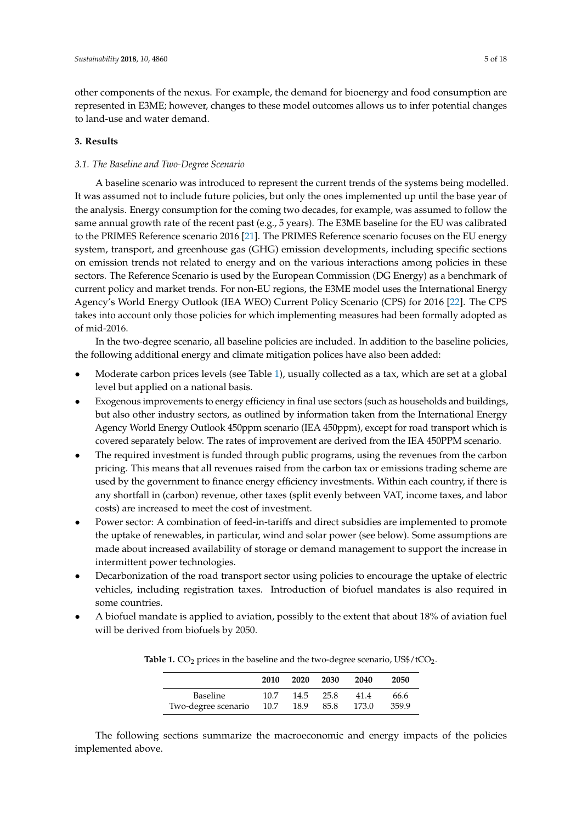other components of the nexus. For example, the demand for bioenergy and food consumption are represented in E3ME; however, changes to these model outcomes allows us to infer potential changes to land-use and water demand.

# **3. Results**

# *3.1. The Baseline and Two-Degree Scenario*

A baseline scenario was introduced to represent the current trends of the systems being modelled. It was assumed not to include future policies, but only the ones implemented up until the base year of the analysis. Energy consumption for the coming two decades, for example, was assumed to follow the same annual growth rate of the recent past (e.g., 5 years). The E3ME baseline for the EU was calibrated to the PRIMES Reference scenario 2016 [\[21\]](#page-16-14). The PRIMES Reference scenario focuses on the EU energy system, transport, and greenhouse gas (GHG) emission developments, including specific sections on emission trends not related to energy and on the various interactions among policies in these sectors. The Reference Scenario is used by the European Commission (DG Energy) as a benchmark of current policy and market trends. For non-EU regions, the E3ME model uses the International Energy Agency's World Energy Outlook (IEA WEO) Current Policy Scenario (CPS) for 2016 [\[22\]](#page-16-15). The CPS takes into account only those policies for which implementing measures had been formally adopted as of mid-2016.

In the two-degree scenario, all baseline policies are included. In addition to the baseline policies, the following additional energy and climate mitigation polices have also been added:

- Moderate carbon prices levels (see Table [1\)](#page-4-0), usually collected as a tax, which are set at a global level but applied on a national basis.
- Exogenous improvements to energy efficiency in final use sectors (such as households and buildings, but also other industry sectors, as outlined by information taken from the International Energy Agency World Energy Outlook 450ppm scenario (IEA 450ppm), except for road transport which is covered separately below. The rates of improvement are derived from the IEA 450PPM scenario.
- The required investment is funded through public programs, using the revenues from the carbon pricing. This means that all revenues raised from the carbon tax or emissions trading scheme are used by the government to finance energy efficiency investments. Within each country, if there is any shortfall in (carbon) revenue, other taxes (split evenly between VAT, income taxes, and labor costs) are increased to meet the cost of investment.
- Power sector: A combination of feed-in-tariffs and direct subsidies are implemented to promote the uptake of renewables, in particular, wind and solar power (see below). Some assumptions are made about increased availability of storage or demand management to support the increase in intermittent power technologies.
- Decarbonization of the road transport sector using policies to encourage the uptake of electric vehicles, including registration taxes. Introduction of biofuel mandates is also required in some countries.
- <span id="page-4-0"></span>• A biofuel mandate is applied to aviation, possibly to the extent that about 18% of aviation fuel will be derived from biofuels by 2050.

|                     | 2010 | 2020 | 2030 | 2040  | 2050  |
|---------------------|------|------|------|-------|-------|
| <b>Baseline</b>     | 10.7 | 14.5 | 25.8 | 41.4  | 66.6  |
| Two-degree scenario | 10.7 | 18.9 | 85.8 | 173.0 | 359.9 |

**Table 1.**  $CO_2$  prices in the baseline and the two-degree scenario, US\$/tCO<sub>2</sub>.

The following sections summarize the macroeconomic and energy impacts of the policies implemented above.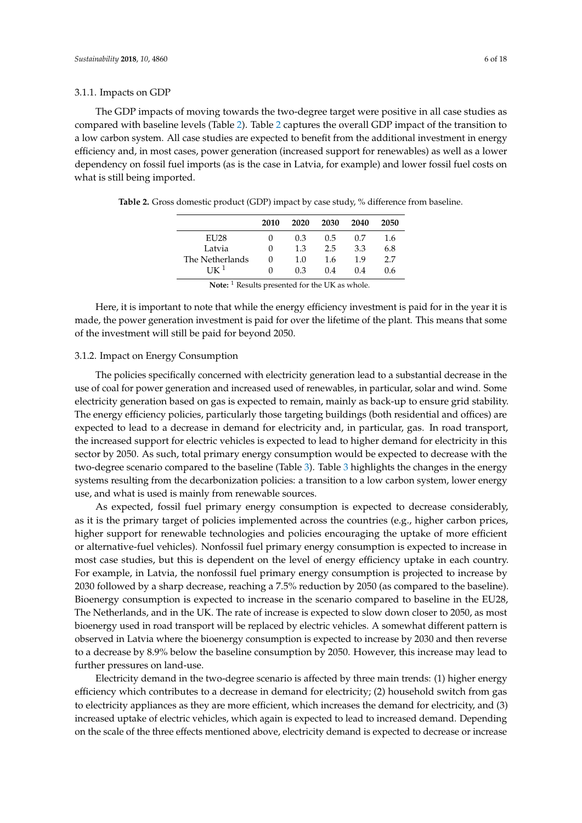#### 3.1.1. Impacts on GDP

The GDP impacts of moving towards the two-degree target were positive in all case studies as compared with baseline levels (Table [2\)](#page-5-0). Table [2](#page-5-0) captures the overall GDP impact of the transition to a low carbon system. All case studies are expected to benefit from the additional investment in energy efficiency and, in most cases, power generation (increased support for renewables) as well as a lower dependency on fossil fuel imports (as is the case in Latvia, for example) and lower fossil fuel costs on what is still being imported.

|                        | 2010 | 2020 | 2030 | 2040 | 2050 |
|------------------------|------|------|------|------|------|
| EU28                   |      | 0.3  | 0.5  | 0.7  | 1.6  |
| Latvia                 |      | 1.3  | 2.5  | 3.3  | 6.8  |
| The Netherlands        |      | 1.0  | 1.6  | 1.9  | 2.7  |
| $1$ IK $^1$            | 0    | 0.3  | 0.4  | 0.4  | 0.6  |
| $-1$ . The set of $-1$ |      |      |      |      |      |

<span id="page-5-0"></span>**Table 2.** Gross domestic product (GDP) impact by case study, % difference from baseline.

**Note:** <sup>1</sup> Results presented for the UK as whole.

Here, it is important to note that while the energy efficiency investment is paid for in the year it is made, the power generation investment is paid for over the lifetime of the plant. This means that some of the investment will still be paid for beyond 2050.

#### <span id="page-5-1"></span>3.1.2. Impact on Energy Consumption

The policies specifically concerned with electricity generation lead to a substantial decrease in the use of coal for power generation and increased used of renewables, in particular, solar and wind. Some electricity generation based on gas is expected to remain, mainly as back-up to ensure grid stability. The energy efficiency policies, particularly those targeting buildings (both residential and offices) are expected to lead to a decrease in demand for electricity and, in particular, gas. In road transport, the increased support for electric vehicles is expected to lead to higher demand for electricity in this sector by 2050. As such, total primary energy consumption would be expected to decrease with the two-degree scenario compared to the baseline (Table [3\)](#page-6-0). Table [3](#page-6-0) highlights the changes in the energy systems resulting from the decarbonization policies: a transition to a low carbon system, lower energy use, and what is used is mainly from renewable sources.

As expected, fossil fuel primary energy consumption is expected to decrease considerably, as it is the primary target of policies implemented across the countries (e.g., higher carbon prices, higher support for renewable technologies and policies encouraging the uptake of more efficient or alternative-fuel vehicles). Nonfossil fuel primary energy consumption is expected to increase in most case studies, but this is dependent on the level of energy efficiency uptake in each country. For example, in Latvia, the nonfossil fuel primary energy consumption is projected to increase by 2030 followed by a sharp decrease, reaching a 7.5% reduction by 2050 (as compared to the baseline). Bioenergy consumption is expected to increase in the scenario compared to baseline in the EU28, The Netherlands, and in the UK. The rate of increase is expected to slow down closer to 2050, as most bioenergy used in road transport will be replaced by electric vehicles. A somewhat different pattern is observed in Latvia where the bioenergy consumption is expected to increase by 2030 and then reverse to a decrease by 8.9% below the baseline consumption by 2050. However, this increase may lead to further pressures on land-use.

Electricity demand in the two-degree scenario is affected by three main trends: (1) higher energy efficiency which contributes to a decrease in demand for electricity; (2) household switch from gas to electricity appliances as they are more efficient, which increases the demand for electricity, and (3) increased uptake of electric vehicles, which again is expected to lead to increased demand. Depending on the scale of the three effects mentioned above, electricity demand is expected to decrease or increase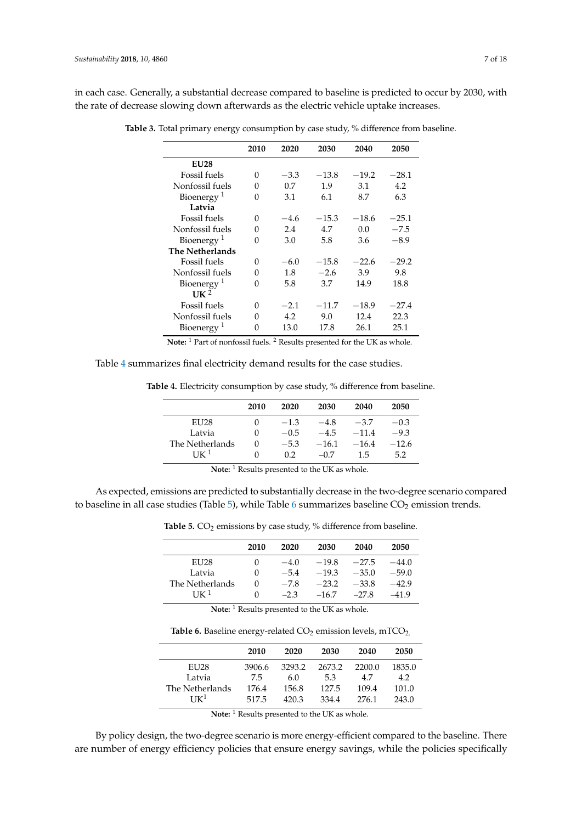<span id="page-6-0"></span>in each case. Generally, a substantial decrease compared to baseline is predicted to occur by 2030, with the rate of decrease slowing down afterwards as the electric vehicle uptake increases.

|                        | 2010 | 2020   | 2030    | 2040    | 2050    |
|------------------------|------|--------|---------|---------|---------|
| <b>EU28</b>            |      |        |         |         |         |
| Fossil fuels           | 0    | $-3.3$ | $-13.8$ | $-19.2$ | $-28.1$ |
| Nonfossil fuels        | 0    | 0.7    | 1.9     | 3.1     | 4.2     |
| Bioenergy <sup>1</sup> | 0    | 3.1    | 6.1     | 8.7     | 6.3     |
| Latvia                 |      |        |         |         |         |
| Fossil fuels           | 0    | $-4.6$ | $-15.3$ | $-18.6$ | $-25.1$ |
| Nonfossil fuels        | 0    | 2.4    | 4.7     | 0.0     | $-7.5$  |
| Bioenergy <sup>1</sup> | 0    | 3.0    | 5.8     | 3.6     | $-8.9$  |
| <b>The Netherlands</b> |      |        |         |         |         |
| Fossil fuels           | 0    | $-6.0$ | $-15.8$ | $-22.6$ | $-29.2$ |
| Nonfossil fuels        | 0    | 1.8    | $-2.6$  | 3.9     | 9.8     |
| Bioenergy <sup>1</sup> | 0    | 5.8    | 3.7     | 14.9    | 18.8    |
| $UK^2$                 |      |        |         |         |         |
| Fossil fuels           | 0    | $-2.1$ | $-11.7$ | $-18.9$ | $-27.4$ |
| Nonfossil fuels        | 0    | 4.2    | 9.0     | 12.4    | 22.3    |
| Bioenergy <sup>1</sup> | 0    | 13.0   | 17.8    | 26.1    | 25.1    |

**Table 3.** Total primary energy consumption by case study, % difference from baseline.

**Note:** <sup>1</sup> Part of nonfossil fuels. <sup>2</sup> Results presented for the UK as whole.

<span id="page-6-1"></span>Table [4](#page-6-1) summarizes final electricity demand results for the case studies.

|  |  | <b>Table 4.</b> Electricity consumption by case study, % difference from baseline. |  |  |  |  |  |
|--|--|------------------------------------------------------------------------------------|--|--|--|--|--|
|--|--|------------------------------------------------------------------------------------|--|--|--|--|--|

| 2010 | 2020   | 2030    | 2040    | 2050    |
|------|--------|---------|---------|---------|
| 0    | $-1.3$ | $-4.8$  | $-3.7$  | $-0.3$  |
|      | $-0.5$ | $-4.5$  | $-11.4$ | $-9.3$  |
|      | $-5.3$ | $-16.1$ | $-16.4$ | $-12.6$ |
|      | 02     | $-07$   | 15      | 5.2     |
|      |        |         |         |         |

**Note:** <sup>1</sup> Results presented to the UK as whole.

<span id="page-6-2"></span>As expected, emissions are predicted to substantially decrease in the two-degree scenario compared to baseline in all case studies (Table  $5$ ), while Table [6](#page-6-3) summarizes baseline  $CO<sub>2</sub>$  emission trends.

Table 5. CO<sub>2</sub> emissions by case study, % difference from baseline.

|                  | 2010     | 2020   | 2030    | 2040    | 2050    |
|------------------|----------|--------|---------|---------|---------|
| EU <sub>28</sub> | 0        | $-4.0$ | $-19.8$ | $-27.5$ | $-44.0$ |
| Latvia           | $\cup$   | $-5.4$ | $-19.3$ | $-35.0$ | $-59.0$ |
| The Netherlands  | 0        | $-78$  | $-23.2$ | $-33.8$ | $-42.9$ |
| $I K^1$          | $^{(1)}$ | $-2.3$ | $-16.7$ | $-27.8$ | $-419$  |

**Note:** <sup>1</sup> Results presented to the UK as whole.

Table 6. Baseline energy-related CO<sub>2</sub> emission levels, mTCO<sub>2.</sub>

<span id="page-6-3"></span>

|                  | 2010   | 2020   | 2030   | 2040   | 2050   |
|------------------|--------|--------|--------|--------|--------|
| <b>EU28</b>      | 3906.6 | 3293.2 | 2673.2 | 2200.0 | 1835.0 |
| Latvia           | 7.5    | 6.0    | 5.3    | 4.7    | 4.2    |
| The Netherlands  | 176.4  | 156.8  | 127.5  | 109.4  | 101.0  |
| I K <sup>1</sup> | 517.5  | 420.3  | 334.4  | 276.1  | 243.0  |

**Note:** <sup>1</sup> Results presented to the UK as whole.

By policy design, the two-degree scenario is more energy-efficient compared to the baseline. There are number of energy efficiency policies that ensure energy savings, while the policies specifically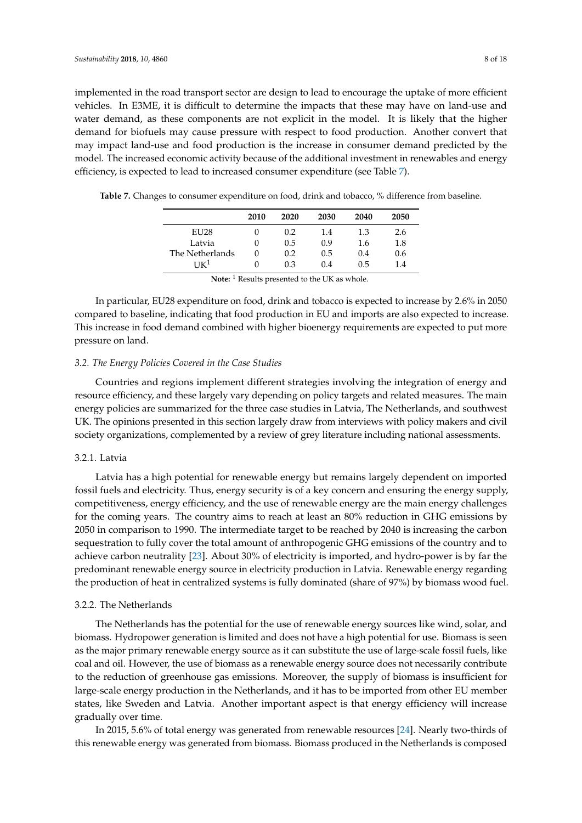implemented in the road transport sector are design to lead to encourage the uptake of more efficient vehicles. In E3ME, it is difficult to determine the impacts that these may have on land-use and water demand, as these components are not explicit in the model. It is likely that the higher demand for biofuels may cause pressure with respect to food production. Another convert that may impact land-use and food production is the increase in consumer demand predicted by the model. The increased economic activity because of the additional investment in renewables and energy efficiency, is expected to lead to increased consumer expenditure (see Table [7\)](#page-7-0).

| 2010 | 2020 | 2030 | 2040 | 2050 |
|------|------|------|------|------|
|      | 0.2  | 1.4  | 1.3  | 2.6  |
|      | 0.5  | 0.9  | 1.6  | 1.8  |
|      | 0.2  | 0.5  | 0.4  | 0.6  |
|      | 0.3  | 0.4  | 0.5  | 1.4  |
|      |      |      |      |      |

<span id="page-7-0"></span>**Table 7.** Changes to consumer expenditure on food, drink and tobacco, % difference from baseline.

Note: <sup>1</sup> Results presented to the UK as whole.

In particular, EU28 expenditure on food, drink and tobacco is expected to increase by 2.6% in 2050 compared to baseline, indicating that food production in EU and imports are also expected to increase. This increase in food demand combined with higher bioenergy requirements are expected to put more pressure on land.

#### *3.2. The Energy Policies Covered in the Case Studies*

Countries and regions implement different strategies involving the integration of energy and resource efficiency, and these largely vary depending on policy targets and related measures. The main energy policies are summarized for the three case studies in Latvia, The Netherlands, and southwest UK. The opinions presented in this section largely draw from interviews with policy makers and civil society organizations, complemented by a review of grey literature including national assessments.

## 3.2.1. Latvia

Latvia has a high potential for renewable energy but remains largely dependent on imported fossil fuels and electricity. Thus, energy security is of a key concern and ensuring the energy supply, competitiveness, energy efficiency, and the use of renewable energy are the main energy challenges for the coming years. The country aims to reach at least an 80% reduction in GHG emissions by 2050 in comparison to 1990. The intermediate target to be reached by 2040 is increasing the carbon sequestration to fully cover the total amount of anthropogenic GHG emissions of the country and to achieve carbon neutrality [\[23\]](#page-16-16). About 30% of electricity is imported, and hydro-power is by far the predominant renewable energy source in electricity production in Latvia. Renewable energy regarding the production of heat in centralized systems is fully dominated (share of 97%) by biomass wood fuel.

## 3.2.2. The Netherlands

The Netherlands has the potential for the use of renewable energy sources like wind, solar, and biomass. Hydropower generation is limited and does not have a high potential for use. Biomass is seen as the major primary renewable energy source as it can substitute the use of large-scale fossil fuels, like coal and oil. However, the use of biomass as a renewable energy source does not necessarily contribute to the reduction of greenhouse gas emissions. Moreover, the supply of biomass is insufficient for large-scale energy production in the Netherlands, and it has to be imported from other EU member states, like Sweden and Latvia. Another important aspect is that energy efficiency will increase gradually over time.

In 2015, 5.6% of total energy was generated from renewable resources [\[24\]](#page-16-17). Nearly two-thirds of this renewable energy was generated from biomass. Biomass produced in the Netherlands is composed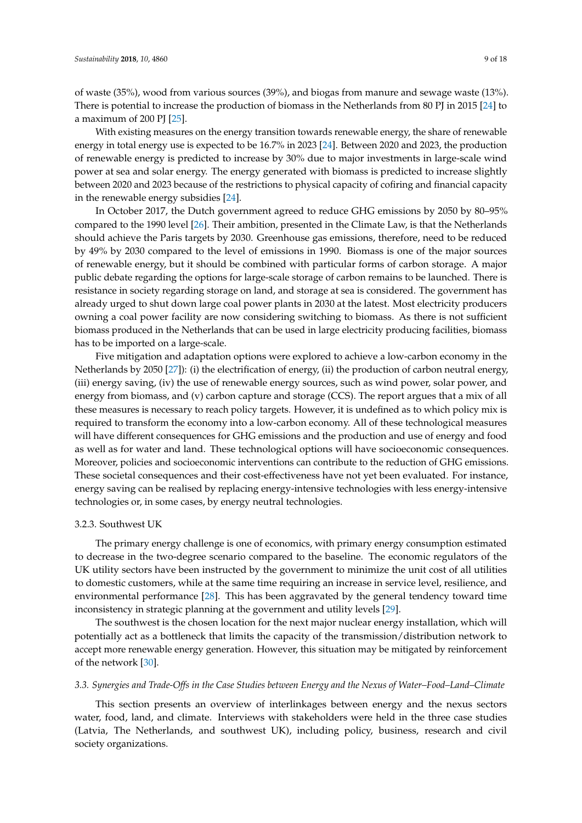of waste (35%), wood from various sources (39%), and biogas from manure and sewage waste (13%). There is potential to increase the production of biomass in the Netherlands from 80 PJ in 2015 [\[24\]](#page-16-17) to a maximum of 200 PJ [\[25\]](#page-16-18).

With existing measures on the energy transition towards renewable energy, the share of renewable energy in total energy use is expected to be 16.7% in 2023 [\[24\]](#page-16-17). Between 2020 and 2023, the production of renewable energy is predicted to increase by 30% due to major investments in large-scale wind power at sea and solar energy. The energy generated with biomass is predicted to increase slightly between 2020 and 2023 because of the restrictions to physical capacity of cofiring and financial capacity in the renewable energy subsidies [\[24\]](#page-16-17).

In October 2017, the Dutch government agreed to reduce GHG emissions by 2050 by 80–95% compared to the 1990 level [\[26\]](#page-16-19). Their ambition, presented in the Climate Law, is that the Netherlands should achieve the Paris targets by 2030. Greenhouse gas emissions, therefore, need to be reduced by 49% by 2030 compared to the level of emissions in 1990. Biomass is one of the major sources of renewable energy, but it should be combined with particular forms of carbon storage. A major public debate regarding the options for large-scale storage of carbon remains to be launched. There is resistance in society regarding storage on land, and storage at sea is considered. The government has already urged to shut down large coal power plants in 2030 at the latest. Most electricity producers owning a coal power facility are now considering switching to biomass. As there is not sufficient biomass produced in the Netherlands that can be used in large electricity producing facilities, biomass has to be imported on a large-scale.

Five mitigation and adaptation options were explored to achieve a low-carbon economy in the Netherlands by 2050 [\[27\]](#page-16-20)): (i) the electrification of energy, (ii) the production of carbon neutral energy, (iii) energy saving, (iv) the use of renewable energy sources, such as wind power, solar power, and energy from biomass, and (v) carbon capture and storage (CCS). The report argues that a mix of all these measures is necessary to reach policy targets. However, it is undefined as to which policy mix is required to transform the economy into a low-carbon economy. All of these technological measures will have different consequences for GHG emissions and the production and use of energy and food as well as for water and land. These technological options will have socioeconomic consequences. Moreover, policies and socioeconomic interventions can contribute to the reduction of GHG emissions. These societal consequences and their cost-effectiveness have not yet been evaluated. For instance, energy saving can be realised by replacing energy-intensive technologies with less energy-intensive technologies or, in some cases, by energy neutral technologies.

#### 3.2.3. Southwest UK

The primary energy challenge is one of economics, with primary energy consumption estimated to decrease in the two-degree scenario compared to the baseline. The economic regulators of the UK utility sectors have been instructed by the government to minimize the unit cost of all utilities to domestic customers, while at the same time requiring an increase in service level, resilience, and environmental performance [\[28\]](#page-17-0). This has been aggravated by the general tendency toward time inconsistency in strategic planning at the government and utility levels [\[29\]](#page-17-1).

The southwest is the chosen location for the next major nuclear energy installation, which will potentially act as a bottleneck that limits the capacity of the transmission/distribution network to accept more renewable energy generation. However, this situation may be mitigated by reinforcement of the network [\[30\]](#page-17-2).

#### *3.3. Synergies and Trade-Offs in the Case Studies between Energy and the Nexus of Water–Food–Land–Climate*

This section presents an overview of interlinkages between energy and the nexus sectors water, food, land, and climate. Interviews with stakeholders were held in the three case studies (Latvia, The Netherlands, and southwest UK), including policy, business, research and civil society organizations.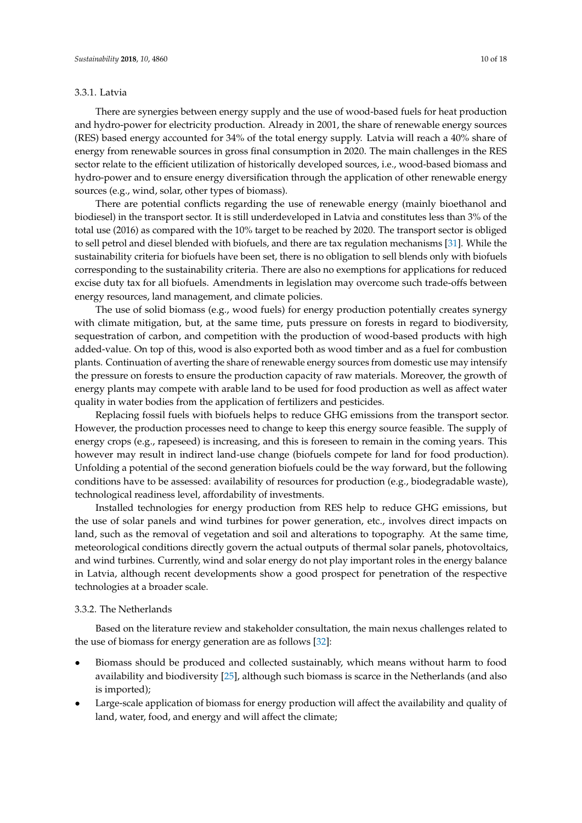# <span id="page-9-0"></span>3.3.1. Latvia

There are synergies between energy supply and the use of wood-based fuels for heat production and hydro-power for electricity production. Already in 2001, the share of renewable energy sources (RES) based energy accounted for 34% of the total energy supply. Latvia will reach a 40% share of energy from renewable sources in gross final consumption in 2020. The main challenges in the RES sector relate to the efficient utilization of historically developed sources, i.e., wood-based biomass and hydro-power and to ensure energy diversification through the application of other renewable energy sources (e.g., wind, solar, other types of biomass).

There are potential conflicts regarding the use of renewable energy (mainly bioethanol and biodiesel) in the transport sector. It is still underdeveloped in Latvia and constitutes less than 3% of the total use (2016) as compared with the 10% target to be reached by 2020. The transport sector is obliged to sell petrol and diesel blended with biofuels, and there are tax regulation mechanisms [\[31\]](#page-17-3). While the sustainability criteria for biofuels have been set, there is no obligation to sell blends only with biofuels corresponding to the sustainability criteria. There are also no exemptions for applications for reduced excise duty tax for all biofuels. Amendments in legislation may overcome such trade-offs between energy resources, land management, and climate policies.

The use of solid biomass (e.g., wood fuels) for energy production potentially creates synergy with climate mitigation, but, at the same time, puts pressure on forests in regard to biodiversity, sequestration of carbon, and competition with the production of wood-based products with high added-value. On top of this, wood is also exported both as wood timber and as a fuel for combustion plants. Continuation of averting the share of renewable energy sources from domestic use may intensify the pressure on forests to ensure the production capacity of raw materials. Moreover, the growth of energy plants may compete with arable land to be used for food production as well as affect water quality in water bodies from the application of fertilizers and pesticides.

Replacing fossil fuels with biofuels helps to reduce GHG emissions from the transport sector. However, the production processes need to change to keep this energy source feasible. The supply of energy crops (e.g., rapeseed) is increasing, and this is foreseen to remain in the coming years. This however may result in indirect land-use change (biofuels compete for land for food production). Unfolding a potential of the second generation biofuels could be the way forward, but the following conditions have to be assessed: availability of resources for production (e.g., biodegradable waste), technological readiness level, affordability of investments.

Installed technologies for energy production from RES help to reduce GHG emissions, but the use of solar panels and wind turbines for power generation, etc., involves direct impacts on land, such as the removal of vegetation and soil and alterations to topography. At the same time, meteorological conditions directly govern the actual outputs of thermal solar panels, photovoltaics, and wind turbines. Currently, wind and solar energy do not play important roles in the energy balance in Latvia, although recent developments show a good prospect for penetration of the respective technologies at a broader scale.

# 3.3.2. The Netherlands

Based on the literature review and stakeholder consultation, the main nexus challenges related to the use of biomass for energy generation are as follows [\[32\]](#page-17-4):

- Biomass should be produced and collected sustainably, which means without harm to food availability and biodiversity [\[25\]](#page-16-18), although such biomass is scarce in the Netherlands (and also is imported);
- Large-scale application of biomass for energy production will affect the availability and quality of land, water, food, and energy and will affect the climate;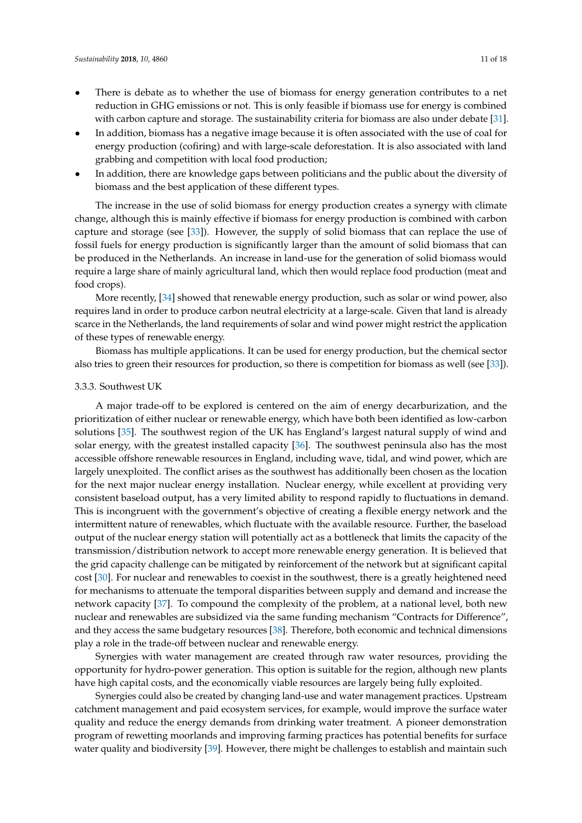- There is debate as to whether the use of biomass for energy generation contributes to a net reduction in GHG emissions or not. This is only feasible if biomass use for energy is combined with carbon capture and storage. The sustainability criteria for biomass are also under debate [\[31\]](#page-17-3).
- In addition, biomass has a negative image because it is often associated with the use of coal for energy production (cofiring) and with large-scale deforestation. It is also associated with land grabbing and competition with local food production;
- In addition, there are knowledge gaps between politicians and the public about the diversity of biomass and the best application of these different types.

The increase in the use of solid biomass for energy production creates a synergy with climate change, although this is mainly effective if biomass for energy production is combined with carbon capture and storage (see [\[33\]](#page-17-5)). However, the supply of solid biomass that can replace the use of fossil fuels for energy production is significantly larger than the amount of solid biomass that can be produced in the Netherlands. An increase in land-use for the generation of solid biomass would require a large share of mainly agricultural land, which then would replace food production (meat and food crops).

More recently, [\[34\]](#page-17-6) showed that renewable energy production, such as solar or wind power, also requires land in order to produce carbon neutral electricity at a large-scale. Given that land is already scarce in the Netherlands, the land requirements of solar and wind power might restrict the application of these types of renewable energy.

Biomass has multiple applications. It can be used for energy production, but the chemical sector also tries to green their resources for production, so there is competition for biomass as well (see [\[33\]](#page-17-5)).

#### <span id="page-10-0"></span>3.3.3. Southwest UK

A major trade-off to be explored is centered on the aim of energy decarburization, and the prioritization of either nuclear or renewable energy, which have both been identified as low-carbon solutions [\[35\]](#page-17-7). The southwest region of the UK has England's largest natural supply of wind and solar energy, with the greatest installed capacity [\[36\]](#page-17-8). The southwest peninsula also has the most accessible offshore renewable resources in England, including wave, tidal, and wind power, which are largely unexploited. The conflict arises as the southwest has additionally been chosen as the location for the next major nuclear energy installation. Nuclear energy, while excellent at providing very consistent baseload output, has a very limited ability to respond rapidly to fluctuations in demand. This is incongruent with the government's objective of creating a flexible energy network and the intermittent nature of renewables, which fluctuate with the available resource. Further, the baseload output of the nuclear energy station will potentially act as a bottleneck that limits the capacity of the transmission/distribution network to accept more renewable energy generation. It is believed that the grid capacity challenge can be mitigated by reinforcement of the network but at significant capital cost [\[30\]](#page-17-2). For nuclear and renewables to coexist in the southwest, there is a greatly heightened need for mechanisms to attenuate the temporal disparities between supply and demand and increase the network capacity [\[37\]](#page-17-9). To compound the complexity of the problem, at a national level, both new nuclear and renewables are subsidized via the same funding mechanism "Contracts for Difference", and they access the same budgetary resources [\[38\]](#page-17-10). Therefore, both economic and technical dimensions play a role in the trade-off between nuclear and renewable energy.

Synergies with water management are created through raw water resources, providing the opportunity for hydro-power generation. This option is suitable for the region, although new plants have high capital costs, and the economically viable resources are largely being fully exploited.

Synergies could also be created by changing land-use and water management practices. Upstream catchment management and paid ecosystem services, for example, would improve the surface water quality and reduce the energy demands from drinking water treatment. A pioneer demonstration program of rewetting moorlands and improving farming practices has potential benefits for surface water quality and biodiversity [\[39\]](#page-17-11). However, there might be challenges to establish and maintain such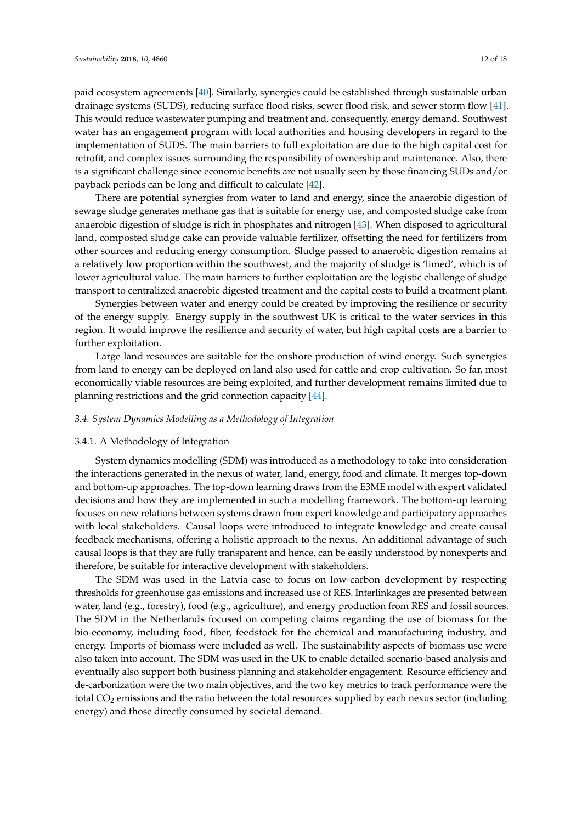paid ecosystem agreements [\[40\]](#page-17-12). Similarly, synergies could be established through sustainable urban drainage systems (SUDS), reducing surface flood risks, sewer flood risk, and sewer storm flow [\[41\]](#page-17-13). This would reduce wastewater pumping and treatment and, consequently, energy demand. Southwest water has an engagement program with local authorities and housing developers in regard to the implementation of SUDS. The main barriers to full exploitation are due to the high capital cost for retrofit, and complex issues surrounding the responsibility of ownership and maintenance. Also, there is a significant challenge since economic benefits are not usually seen by those financing SUDs and/or payback periods can be long and difficult to calculate [\[42\]](#page-17-14).

There are potential synergies from water to land and energy, since the anaerobic digestion of sewage sludge generates methane gas that is suitable for energy use, and composted sludge cake from anaerobic digestion of sludge is rich in phosphates and nitrogen [\[43\]](#page-17-15). When disposed to agricultural land, composted sludge cake can provide valuable fertilizer, offsetting the need for fertilizers from other sources and reducing energy consumption. Sludge passed to anaerobic digestion remains at a relatively low proportion within the southwest, and the majority of sludge is 'limed', which is of lower agricultural value. The main barriers to further exploitation are the logistic challenge of sludge transport to centralized anaerobic digested treatment and the capital costs to build a treatment plant.

Synergies between water and energy could be created by improving the resilience or security of the energy supply. Energy supply in the southwest UK is critical to the water services in this region. It would improve the resilience and security of water, but high capital costs are a barrier to further exploitation.

Large land resources are suitable for the onshore production of wind energy. Such synergies from land to energy can be deployed on land also used for cattle and crop cultivation. So far, most economically viable resources are being exploited, and further development remains limited due to planning restrictions and the grid connection capacity [\[44\]](#page-17-16).

## *3.4. System Dynamics Modelling as a Methodology of Integration*

# 3.4.1. A Methodology of Integration

System dynamics modelling (SDM) was introduced as a methodology to take into consideration the interactions generated in the nexus of water, land, energy, food and climate. It merges top-down and bottom-up approaches. The top-down learning draws from the E3ME model with expert validated decisions and how they are implemented in such a modelling framework. The bottom-up learning focuses on new relations between systems drawn from expert knowledge and participatory approaches with local stakeholders. Causal loops were introduced to integrate knowledge and create causal feedback mechanisms, offering a holistic approach to the nexus. An additional advantage of such causal loops is that they are fully transparent and hence, can be easily understood by nonexperts and therefore, be suitable for interactive development with stakeholders.

The SDM was used in the Latvia case to focus on low-carbon development by respecting thresholds for greenhouse gas emissions and increased use of RES. Interlinkages are presented between water, land (e.g., forestry), food (e.g., agriculture), and energy production from RES and fossil sources. The SDM in the Netherlands focused on competing claims regarding the use of biomass for the bio-economy, including food, fiber, feedstock for the chemical and manufacturing industry, and energy. Imports of biomass were included as well. The sustainability aspects of biomass use were also taken into account. The SDM was used in the UK to enable detailed scenario-based analysis and eventually also support both business planning and stakeholder engagement. Resource efficiency and de-carbonization were the two main objectives, and the two key metrics to track performance were the total CO<sup>2</sup> emissions and the ratio between the total resources supplied by each nexus sector (including energy) and those directly consumed by societal demand.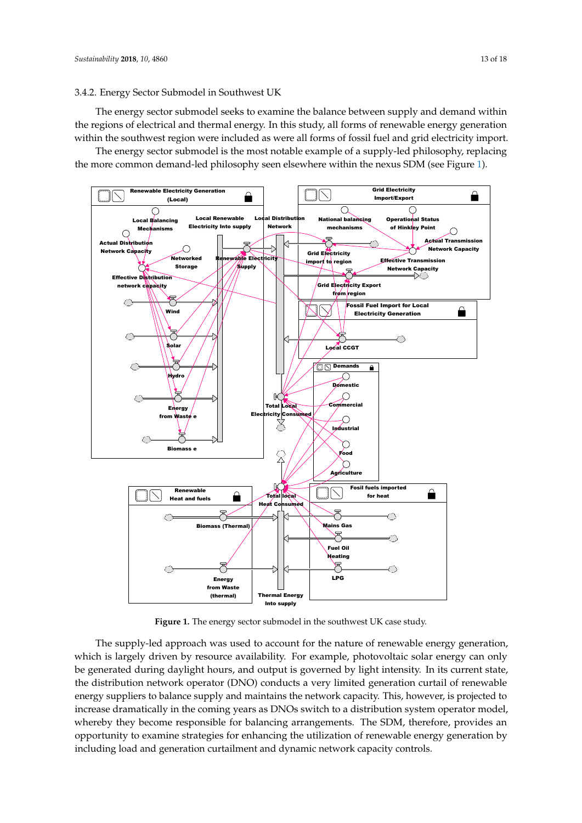## 3.4.2. Energy Sector Submodel in Southwest UK

The energy sector submodel seeks to examine the balance between supply and demand within the regions of electrical and thermal energy. In this study, all forms of renewable energy generation within the southwest region were included as were all forms of fossil fuel and grid electricity import.

The energy sector submodel is the most notable example of a supply-led philosophy, replacing the more common demand-led philosophy seen elsewhere within the nexus SDM (see Figure [1\)](#page-12-0).

<span id="page-12-0"></span>

**Figure 1.** The energy sector submodel in the southwest UK case study. **Figure 1.** The energy sector submodel in the southwest UK case study.

The supply-led approach was used to account for the nature of renewable energy generation, madel is angery driven by resource availability. The balliple, procedurate solar energy can only be generated during daylight hours, and output is governed by light intensity. In its current state, the distribution network operator (DNO) conducts a very limited generation curtail of renewable energy suppliers to balance supply and maintains the network capacity. This, however, is projected to increase dramatically in the coming years as DNOs switch to a distribution system operator model, which is largely driven by resource availability. For example, photovoltaic solar energy can only whereby they become responsible for balancing arrangements. The SDM, therefore, provides an opportunity to examine strategies for enhancing the utilization of renewable energy generation by including load and generation curtailment and dynamic network capacity controls.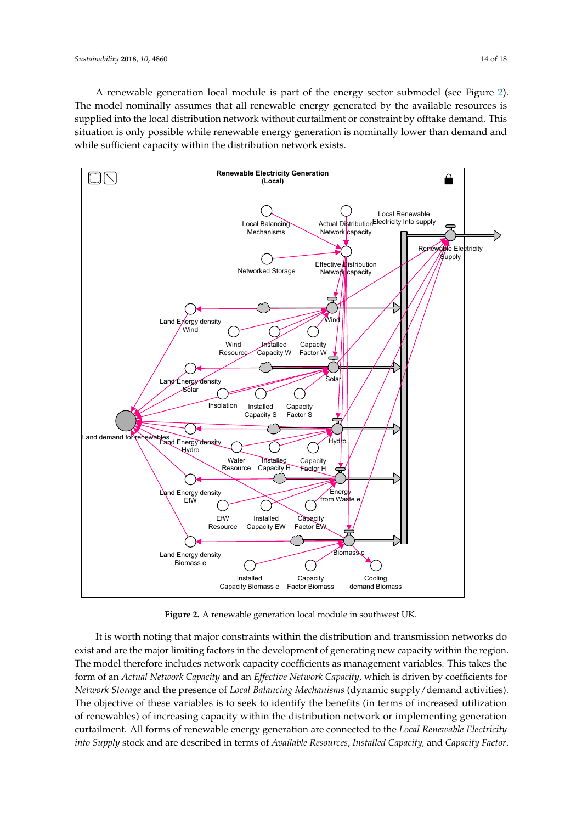A renewable generation local module is part of the energy sector submodel (see Figure [2\)](#page-13-0). The model nominally assumes that all renewable energy generated by the available resources is supplied into the local distribution network without curtailment or constraint by offtake demand. This situation is only possible while renewable energy generation is nominally lower than demand and while sufficient capacity within the distribution network exists.

<span id="page-13-0"></span>

**Figure 2.** A renewable generation local module in southwest UK. **Figure 2.** A renewable generation local module in southwest UK.

It is worth noting that major constraints within the distribution and transmission networks do It is worth noting that major constraints within the distribution and transmission networks do exist and are the major limiting factors in the development of generating new capacity within the exist and are the major limiting factors in the development of generating new capacity within the region. The model therefore includes network capacity coefficients as management variables. This takes the form of an Actual Network Capacity and an Effective Network Capacity, which is driven by coefficients for coefficients for *Network Storage* and the presence of *Local Balancing Mechanisms* (dynamic *Network Storage* and the presence of *Local Balancing Mechanisms* (dynamic supply/demand activities). The objective of these variables is to seek to identify the benefits (in terms of increased utilization of renewables) of increasing capacity within the distribution network or implementing generation curtailment. All forms of renewable energy generation are connected to the *Local Renewable Electricity* into Supply stock and are described in terms of Available Resources, Installed Capacity, and Capacity Factor.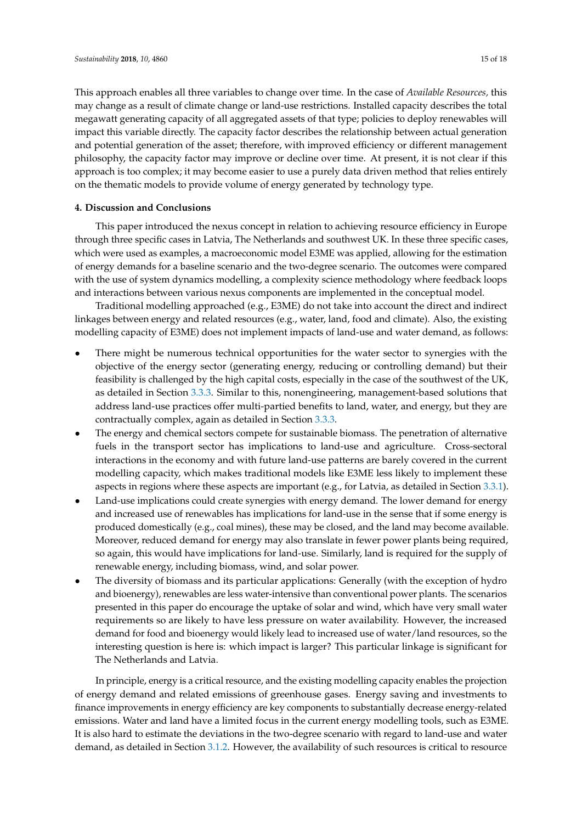This approach enables all three variables to change over time. In the case of *Available Resources,* this may change as a result of climate change or land-use restrictions. Installed capacity describes the total megawatt generating capacity of all aggregated assets of that type; policies to deploy renewables will impact this variable directly. The capacity factor describes the relationship between actual generation and potential generation of the asset; therefore, with improved efficiency or different management philosophy, the capacity factor may improve or decline over time. At present, it is not clear if this approach is too complex; it may become easier to use a purely data driven method that relies entirely on the thematic models to provide volume of energy generated by technology type.

# **4. Discussion and Conclusions**

This paper introduced the nexus concept in relation to achieving resource efficiency in Europe through three specific cases in Latvia, The Netherlands and southwest UK. In these three specific cases, which were used as examples, a macroeconomic model E3ME was applied, allowing for the estimation of energy demands for a baseline scenario and the two-degree scenario. The outcomes were compared with the use of system dynamics modelling, a complexity science methodology where feedback loops and interactions between various nexus components are implemented in the conceptual model.

Traditional modelling approached (e.g., E3ME) do not take into account the direct and indirect linkages between energy and related resources (e.g., water, land, food and climate). Also, the existing modelling capacity of E3ME) does not implement impacts of land-use and water demand, as follows:

- There might be numerous technical opportunities for the water sector to synergies with the objective of the energy sector (generating energy, reducing or controlling demand) but their feasibility is challenged by the high capital costs, especially in the case of the southwest of the UK, as detailed in Section [3.3.3.](#page-10-0) Similar to this, nonengineering, management-based solutions that address land-use practices offer multi-partied benefits to land, water, and energy, but they are contractually complex, again as detailed in Section [3.3.3.](#page-10-0)
- The energy and chemical sectors compete for sustainable biomass. The penetration of alternative fuels in the transport sector has implications to land-use and agriculture. Cross-sectoral interactions in the economy and with future land-use patterns are barely covered in the current modelling capacity, which makes traditional models like E3ME less likely to implement these aspects in regions where these aspects are important (e.g., for Latvia, as detailed in Section [3.3.1\)](#page-9-0).
- Land-use implications could create synergies with energy demand. The lower demand for energy and increased use of renewables has implications for land-use in the sense that if some energy is produced domestically (e.g., coal mines), these may be closed, and the land may become available. Moreover, reduced demand for energy may also translate in fewer power plants being required, so again, this would have implications for land-use. Similarly, land is required for the supply of renewable energy, including biomass, wind, and solar power.
- The diversity of biomass and its particular applications: Generally (with the exception of hydro and bioenergy), renewables are less water-intensive than conventional power plants. The scenarios presented in this paper do encourage the uptake of solar and wind, which have very small water requirements so are likely to have less pressure on water availability. However, the increased demand for food and bioenergy would likely lead to increased use of water/land resources, so the interesting question is here is: which impact is larger? This particular linkage is significant for The Netherlands and Latvia.

In principle, energy is a critical resource, and the existing modelling capacity enables the projection of energy demand and related emissions of greenhouse gases. Energy saving and investments to finance improvements in energy efficiency are key components to substantially decrease energy-related emissions. Water and land have a limited focus in the current energy modelling tools, such as E3ME. It is also hard to estimate the deviations in the two-degree scenario with regard to land-use and water demand, as detailed in Section [3.1.2.](#page-5-1) However, the availability of such resources is critical to resource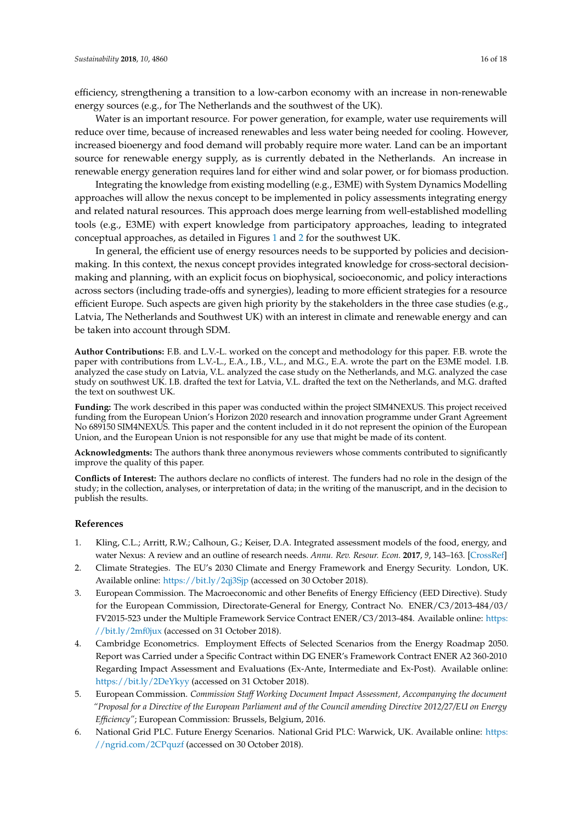efficiency, strengthening a transition to a low-carbon economy with an increase in non-renewable energy sources (e.g., for The Netherlands and the southwest of the UK).

Water is an important resource. For power generation, for example, water use requirements will reduce over time, because of increased renewables and less water being needed for cooling. However, increased bioenergy and food demand will probably require more water. Land can be an important source for renewable energy supply, as is currently debated in the Netherlands. An increase in renewable energy generation requires land for either wind and solar power, or for biomass production.

Integrating the knowledge from existing modelling (e.g., E3ME) with System Dynamics Modelling approaches will allow the nexus concept to be implemented in policy assessments integrating energy and related natural resources. This approach does merge learning from well-established modelling tools (e.g., E3ME) with expert knowledge from participatory approaches, leading to integrated conceptual approaches, as detailed in Figures [1](#page-12-0) and [2](#page-13-0) for the southwest UK.

In general, the efficient use of energy resources needs to be supported by policies and decisionmaking. In this context, the nexus concept provides integrated knowledge for cross-sectoral decisionmaking and planning, with an explicit focus on biophysical, socioeconomic, and policy interactions across sectors (including trade-offs and synergies), leading to more efficient strategies for a resource efficient Europe. Such aspects are given high priority by the stakeholders in the three case studies (e.g., Latvia, The Netherlands and Southwest UK) with an interest in climate and renewable energy and can be taken into account through SDM.

**Author Contributions:** F.B. and L.V.-L. worked on the concept and methodology for this paper. F.B. wrote the paper with contributions from L.V.-L., E.A., I.B., V.L., and M.G., E.A. wrote the part on the E3ME model. I.B. analyzed the case study on Latvia, V.L. analyzed the case study on the Netherlands, and M.G. analyzed the case study on southwest UK. I.B. drafted the text for Latvia, V.L. drafted the text on the Netherlands, and M.G. drafted the text on southwest UK.

**Funding:** The work described in this paper was conducted within the project SIM4NEXUS. This project received funding from the European Union's Horizon 2020 research and innovation programme under Grant Agreement No 689150 SIM4NEXUS. This paper and the content included in it do not represent the opinion of the European Union, and the European Union is not responsible for any use that might be made of its content.

**Acknowledgments:** The authors thank three anonymous reviewers whose comments contributed to significantly improve the quality of this paper.

**Conflicts of Interest:** The authors declare no conflicts of interest. The funders had no role in the design of the study; in the collection, analyses, or interpretation of data; in the writing of the manuscript, and in the decision to publish the results.

#### **References**

- <span id="page-15-0"></span>1. Kling, C.L.; Arritt, R.W.; Calhoun, G.; Keiser, D.A. Integrated assessment models of the food, energy, and water Nexus: A review and an outline of research needs. *Annu. Rev. Resour. Econ.* **2017**, *9*, 143–163. [\[CrossRef\]](http://dx.doi.org/10.1146/annurev-resource-100516-033533)
- <span id="page-15-1"></span>2. Climate Strategies. The EU's 2030 Climate and Energy Framework and Energy Security. London, UK. Available online: <https://bit.ly/2qj3Sjp> (accessed on 30 October 2018).
- <span id="page-15-4"></span>3. European Commission. The Macroeconomic and other Benefits of Energy Efficiency (EED Directive). Study for the European Commission, Directorate-General for Energy, Contract No. ENER/C3/2013-484/03/ FV2015-523 under the Multiple Framework Service Contract ENER/C3/2013-484. Available online: [https:](https://bit.ly/2mf0jux) [//bit.ly/2mf0jux](https://bit.ly/2mf0jux) (accessed on 31 October 2018).
- 4. Cambridge Econometrics. Employment Effects of Selected Scenarios from the Energy Roadmap 2050. Report was Carried under a Specific Contract within DG ENER's Framework Contract ENER A2 360-2010 Regarding Impact Assessment and Evaluations (Ex-Ante, Intermediate and Ex-Post). Available online: <https://bit.ly/2DeYkyy> (accessed on 31 October 2018).
- <span id="page-15-2"></span>5. European Commission. *Commission Staff Working Document Impact Assessment, Accompanying the document "Proposal for a Directive of the European Parliament and of the Council amending Directive 2012/27/EU on Energy Efficiency"*; European Commission: Brussels, Belgium, 2016.
- <span id="page-15-3"></span>6. National Grid PLC. Future Energy Scenarios. National Grid PLC: Warwick, UK. Available online: [https:](https://ngrid.com/2CPquzf) [//ngrid.com/2CPquzf](https://ngrid.com/2CPquzf) (accessed on 30 October 2018).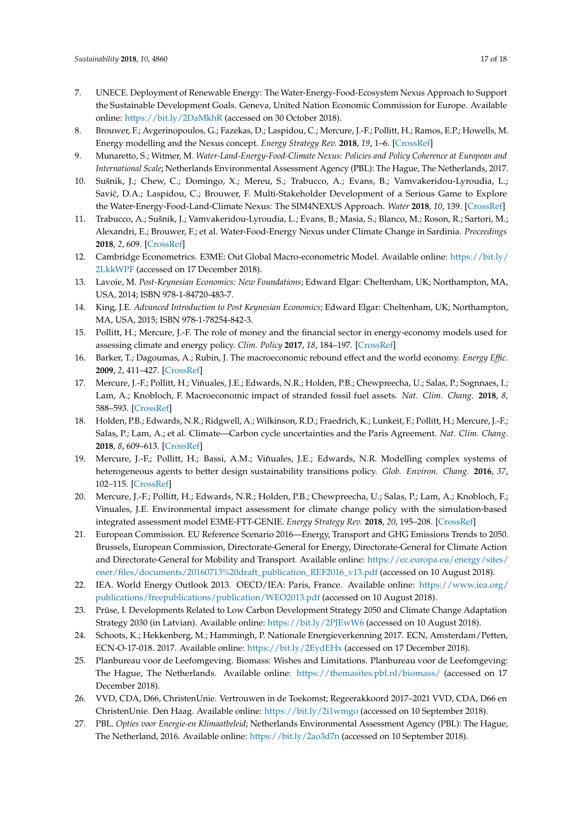- <span id="page-16-0"></span>7. UNECE. Deployment of Renewable Energy: The Water-Energy-Food-Ecosystem Nexus Approach to Support the Sustainable Development Goals. Geneva, United Nation Economic Commission for Europe. Available online: <https://bit.ly/2DaMkhR> (accessed on 30 October 2018).
- <span id="page-16-1"></span>8. Brouwer, F.; Avgerinopoulos, G.; Fazekas, D.; Laspidou, C.; Mercure, J.-F.; Pollitt, H.; Ramos, E.P.; Howells, M. Energy modelling and the Nexus concept. *Energy Strategy Rev.* **2018**, *19*, 1–6. [\[CrossRef\]](http://dx.doi.org/10.1016/j.esr.2017.10.005)
- <span id="page-16-2"></span>9. Munaretto, S.; Witmer, M. *Water-Land-Energy-Food-Climate Nexus: Policies and Policy Coherence at European and International Scale*; Netherlands Environmental Assessment Agency (PBL): The Hague, The Netherlands, 2017.
- <span id="page-16-3"></span>10. Sušnik, J.; Chew, C.; Domingo, X.; Mereu, S.; Trabucco, A.; Evans, B.; Vamvakeridou-Lyroudia, L.; Savić, D.A.; Laspidou, C.; Brouwer, F. Multi-Stakeholder Development of a Serious Game to Explore the Water-Energy-Food-Land-Climate Nexus: The SIM4NEXUS Approach. *Water* **2018**, *10*, 139. [\[CrossRef\]](http://dx.doi.org/10.3390/w10020139)
- <span id="page-16-4"></span>11. Trabucco, A.; Sušnik, J.; Vamvakeridou-Lyroudia, L.; Evans, B.; Masia, S.; Blanco, M.; Roson, R.; Sartori, M.; Alexandri, E.; Brouwer, F.; et al. Water-Food-Energy Nexus under Climate Change in Sardinia. *Proceedings* **2018**, *2*, 609. [\[CrossRef\]](http://dx.doi.org/10.3390/proceedings2110609)
- <span id="page-16-5"></span>12. Cambridge Econometrics. E3ME: Out Global Macro-econometric Model. Available online: [https://bit.ly/](https://bit.ly/2LkkWPF) [2LkkWPF](https://bit.ly/2LkkWPF) (accessed on 17 December 2018).
- <span id="page-16-6"></span>13. Lavoie, M. *Post-Keynesian Economics: New Foundations*; Edward Elgar: Cheltenham, UK; Northampton, MA, USA, 2014; ISBN 978-1-84720-483-7.
- <span id="page-16-7"></span>14. King, J.E. *Advanced Introduction to Post Keynesian Economics*; Edward Elgar: Cheltenham, UK; Northampton, MA, USA, 2015; ISBN 978-1-78254-842-3.
- <span id="page-16-8"></span>15. Pollitt, H.; Mercure, J.-F. The role of money and the financial sector in energy-economy models used for assessing climate and energy policy. *Clim. Policy* **2017**, *18*, 184–197. [\[CrossRef\]](http://dx.doi.org/10.1080/14693062.2016.1277685)
- <span id="page-16-9"></span>16. Barker, T.; Dagoumas, A.; Rubin, J. The macroeconomic rebound effect and the world economy. *Energy Effic.* **2009**, *2*, 411–427. [\[CrossRef\]](http://dx.doi.org/10.1007/s12053-009-9053-y)
- <span id="page-16-10"></span>17. Mercure, J.-F.; Pollitt, H.; Viñuales, J.E.; Edwards, N.R.; Holden, P.B.; Chewpreecha, U.; Salas, P.; Sognnaes, I.; Lam, A.; Knobloch, F. Macroeconomic impact of stranded fossil fuel assets. *Nat. Clim. Chang.* **2018**, *8*, 588–593. [\[CrossRef\]](http://dx.doi.org/10.1038/s41558-018-0182-1)
- <span id="page-16-11"></span>18. Holden, P.B.; Edwards, N.R.; Ridgwell, A.; Wilkinson, R.D.; Fraedrich, K.; Lunkeit, F.; Pollitt, H.; Mercure, J.-F.; Salas, P.; Lam, A.; et al. Climate—Carbon cycle uncertainties and the Paris Agreement. *Nat. Clim. Chang.* **2018**, *8*, 609–613. [\[CrossRef\]](http://dx.doi.org/10.1038/s41558-018-0197-7)
- <span id="page-16-12"></span>19. Mercure, J.-F.; Pollitt, H.; Bassi, A.M.; Viñuales, J.E.; Edwards, N.R. Modelling complex systems of heterogeneous agents to better design sustainability transitions policy. *Glob. Environ. Chang.* **2016**, *37*, 102–115. [\[CrossRef\]](http://dx.doi.org/10.1016/j.gloenvcha.2016.02.003)
- <span id="page-16-13"></span>20. Mercure, J.-F.; Pollitt, H.; Edwards, N.R.; Holden, P.B.; Chewpreecha, U.; Salas, P.; Lam, A.; Knobloch, F.; Vinuales, J.E. Environmental impact assessment for climate change policy with the simulation-based integrated assessment model E3ME-FTT-GENIE. *Energy Strategy Rev.* **2018**, *20*, 195–208. [\[CrossRef\]](http://dx.doi.org/10.1016/j.esr.2018.03.003)
- <span id="page-16-14"></span>21. European Commission. EU Reference Scenario 2016—Energy, Transport and GHG Emissions Trends to 2050. Brussels, European Commission, Directorate-General for Energy, Directorate-General for Climate Action and Directorate-General for Mobility and Transport. Available online: [https://ec.europa.eu/energy/sites/](https://ec.europa.eu/energy/sites/ener/files/documents/20160713%20draft_publication_REF2016_v13.pdf) [ener/files/documents/20160713%20draft\\_publication\\_REF2016\\_v13.pdf](https://ec.europa.eu/energy/sites/ener/files/documents/20160713%20draft_publication_REF2016_v13.pdf) (accessed on 10 August 2018).
- <span id="page-16-15"></span>22. IEA. World Energy Outlook 2013. OECD/IEA: Paris, France. Available online: [https://www.iea.org/](https://www.iea.org/publications/freepublications/publication/WEO2013.pdf) [publications/freepublications/publication/WEO2013.pdf](https://www.iea.org/publications/freepublications/publication/WEO2013.pdf) (accessed on 10 August 2018).
- <span id="page-16-16"></span>23. Prūse, I. Developments Related to Low Carbon Development Strategy 2050 and Climate Change Adaptation Strategy 2030 (in Latvian). Available online: <https://bit.ly/2PJEwW6> (accessed on 10 August 2018).
- <span id="page-16-17"></span>24. Schoots, K.; Hekkenberg, M.; Hammingh, P. Nationale Energieverkenning 2017. ECN, Amsterdam/Petten, ECN-O-17-018. 2017. Available online: <https://bit.ly/2EydEHx> (accessed on 17 December 2018).
- <span id="page-16-18"></span>25. Planbureau voor de Leefomgeving. Biomass: Wishes and Limitations. Planbureau voor de Leefomgeving: The Hague, The Netherlands. Available online: <https://themasites.pbl.nl/biomass/> (accessed on 17 December 2018).
- <span id="page-16-19"></span>26. VVD, CDA, D66, ChristenUnie. Vertrouwen in de Toekomst; Regeerakkoord 2017–2021 VVD, CDA, D66 en ChristenUnie. Den Haag. Available online: <https://bit.ly/2i1wmgo> (accessed on 10 September 2018).
- <span id="page-16-20"></span>27. PBL. *Opties voor Energie-en Klimaatbeleid*; Netherlands Environmental Assessment Agency (PBL): The Hague, The Netherland, 2016. Available online: <https://bit.ly/2ao3d7n> (accessed on 10 September 2018).